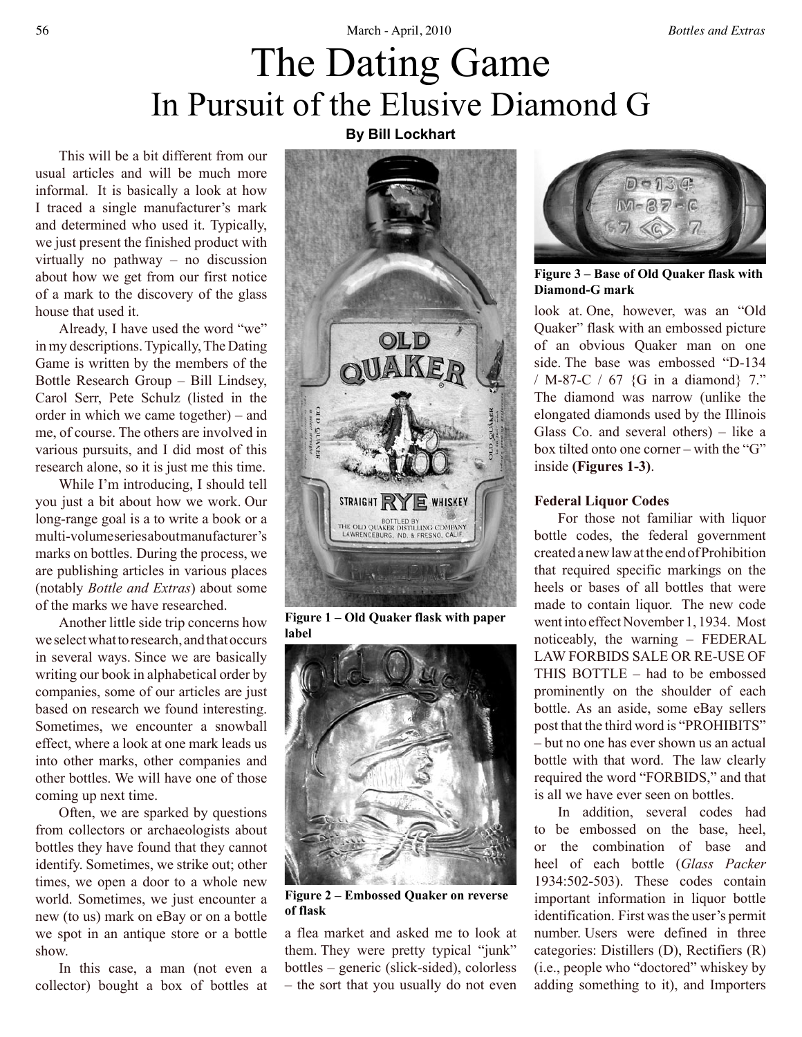# The Dating Game In Pursuit of the Elusive Diamond G

This will be a bit different from our usual articles and will be much more informal. It is basically a look at how I traced a single manufacturer's mark and determined who used it. Typically, we just present the finished product with virtually no pathway – no discussion about how we get from our first notice of a mark to the discovery of the glass house that used it.

Already, I have used the word "we" in my descriptions. Typically, The Dating Game is written by the members of the Bottle Research Group – Bill Lindsey, Carol Serr, Pete Schulz (listed in the order in which we came together) – and me, of course. The others are involved in various pursuits, and I did most of this research alone, so it is just me this time.

While I'm introducing, I should tell you just a bit about how we work. Our long-range goal is a to write a book or a multi-volume series about manufacturer's marks on bottles. During the process, we are publishing articles in various places (notably *Bottle and Extras*) about some of the marks we have researched.

Another little side trip concerns how we select what to research, and that occurs in several ways. Since we are basically writing our book in alphabetical order by companies, some of our articles are just based on research we found interesting. Sometimes, we encounter a snowball effect, where a look at one mark leads us into other marks, other companies and other bottles. We will have one of those coming up next time.

Often, we are sparked by questions from collectors or archaeologists about bottles they have found that they cannot identify. Sometimes, we strike out; other times, we open a door to a whole new world. Sometimes, we just encounter a new (to us) mark on eBay or on a bottle we spot in an antique store or a bottle show.

In this case, a man (not even a collector) bought a box of bottles at

# **By Bill Lockhart**



**Figure 1 – Old Quaker flask with paper label**



**Figure 2 – Embossed Quaker on reverse of flask**

a flea market and asked me to look at them. They were pretty typical "junk" bottles – generic (slick-sided), colorless – the sort that you usually do not even



**Figure 3 – Base of Old Quaker flask with Diamond-G mark**

look at. One, however, was an "Old Quaker" flask with an embossed picture of an obvious Quaker man on one side. The base was embossed "D-134 / M-87-C / 67 {G in a diamond} 7." The diamond was narrow (unlike the elongated diamonds used by the Illinois Glass Co. and several others) – like a box tilted onto one corner – with the "G" inside **(Figures 1-3)**.

# **Federal Liquor Codes**

For those not familiar with liquor bottle codes, the federal government created a new law at the end of Prohibition that required specific markings on the heels or bases of all bottles that were made to contain liquor. The new code went into effect November 1, 1934. Most noticeably, the warning – FEDERAL LAW FORBIDS SALE OR RE-USE OF THIS BOTTLE – had to be embossed prominently on the shoulder of each bottle. As an aside, some eBay sellers post that the third word is "PROHIBITS" – but no one has ever shown us an actual bottle with that word. The law clearly required the word "FORBIDS," and that is all we have ever seen on bottles.

In addition, several codes had to be embossed on the base, heel, or the combination of base and heel of each bottle (*Glass Packer* 1934:502-503). These codes contain important information in liquor bottle identification. First was the user's permit number. Users were defined in three categories: Distillers (D), Rectifiers (R) (i.e., people who "doctored" whiskey by adding something to it), and Importers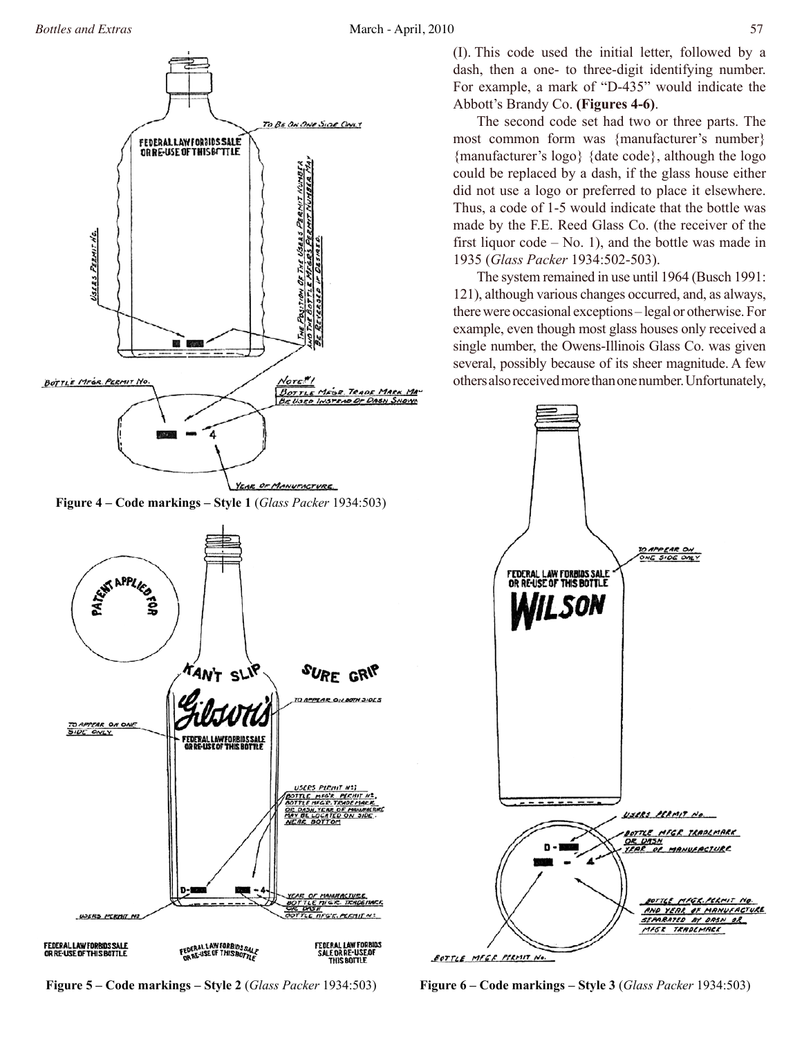

**Figure 4 – Code markings – Style 1** (*Glass Packer* 1934:503)



**Figure 5 – Code markings – Style 2** (*Glass Packer* 1934:503)

(I). This code used the initial letter, followed by a dash, then a one- to three-digit identifying number. For example, a mark of "D-435" would indicate the Abbott's Brandy Co. **(Figures 4-6)**.

The second code set had two or three parts. The most common form was {manufacturer's number} {manufacturer's logo} {date code}, although the logo could be replaced by a dash, if the glass house either did not use a logo or preferred to place it elsewhere. Thus, a code of 1-5 would indicate that the bottle was made by the F.E. Reed Glass Co. (the receiver of the first liquor  $code - No. 1$ , and the bottle was made in 1935 (*Glass Packer* 1934:502-503).

The system remained in use until 1964 (Busch 1991: 121), although various changes occurred, and, as always, there were occasional exceptions – legal or otherwise. For example, even though most glass houses only received a single number, the Owens-Illinois Glass Co. was given several, possibly because of its sheer magnitude. A few others also received more than one number. Unfortunately,



**Figure 6 – Code markings – Style 3** (*Glass Packer* 1934:503)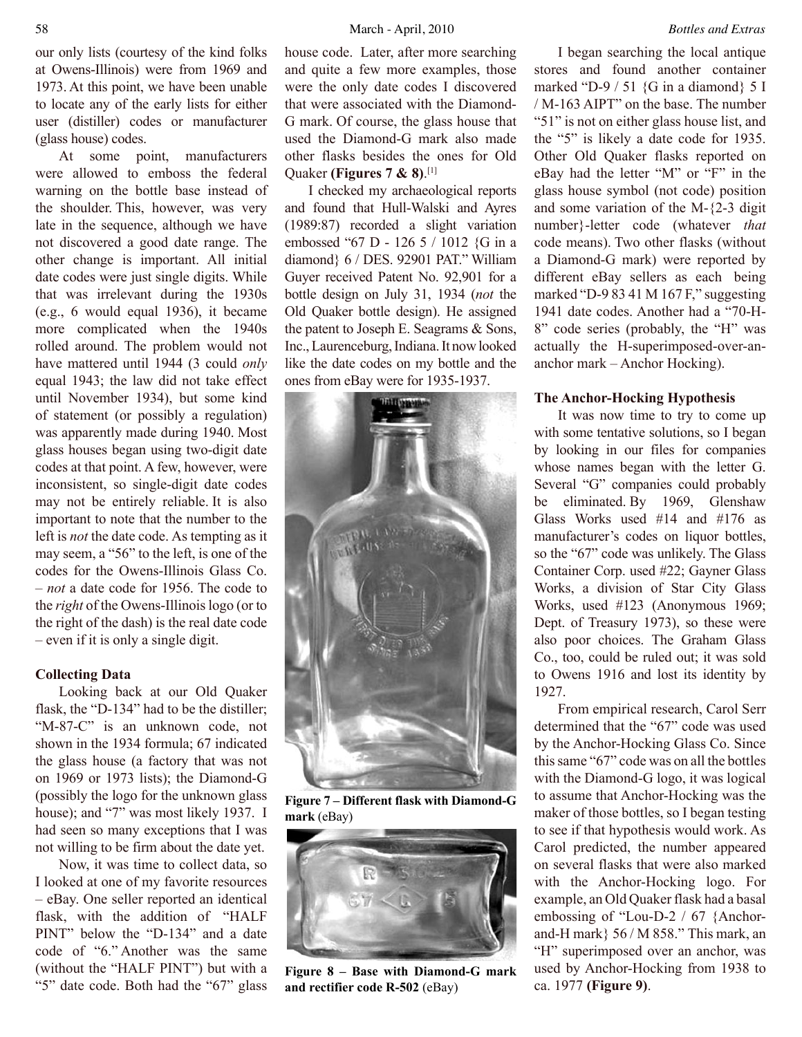our only lists (courtesy of the kind folks at Owens-Illinois) were from 1969 and 1973. At this point, we have been unable to locate any of the early lists for either user (distiller) codes or manufacturer (glass house) codes.

At some point, manufacturers were allowed to emboss the federal warning on the bottle base instead of the shoulder. This, however, was very late in the sequence, although we have not discovered a good date range. The other change is important. All initial date codes were just single digits. While that was irrelevant during the 1930s (e.g., 6 would equal 1936), it became more complicated when the 1940s rolled around. The problem would not have mattered until 1944 (3 could *only* equal 1943; the law did not take effect until November 1934), but some kind of statement (or possibly a regulation) was apparently made during 1940. Most glass houses began using two-digit date codes at that point. A few, however, were inconsistent, so single-digit date codes may not be entirely reliable. It is also important to note that the number to the left is *not* the date code. As tempting as it may seem, a "56" to the left, is one of the codes for the Owens-Illinois Glass Co. – *not* a date code for 1956. The code to the *right* of the Owens-Illinois logo (or to the right of the dash) is the real date code – even if it is only a single digit.

# **Collecting Data**

Looking back at our Old Quaker flask, the "D-134" had to be the distiller; "M-87-C" is an unknown code, not shown in the 1934 formula; 67 indicated the glass house (a factory that was not on 1969 or 1973 lists); the Diamond-G (possibly the logo for the unknown glass house); and "7" was most likely 1937. I had seen so many exceptions that I was not willing to be firm about the date yet.

Now, it was time to collect data, so I looked at one of my favorite resources – eBay. One seller reported an identical flask, with the addition of "HALF PINT" below the "D-134" and a date code of "6." Another was the same (without the "HALF PINT") but with a "5" date code. Both had the "67" glass house code. Later, after more searching and quite a few more examples, those were the only date codes I discovered that were associated with the Diamond-G mark. Of course, the glass house that used the Diamond-G mark also made other flasks besides the ones for Old Quaker **(Figures 7 & 8)**. [1]

I checked my archaeological reports and found that Hull-Walski and Ayres (1989:87) recorded a slight variation embossed "67 D - 126 5 / 1012 {G in a diamond} 6 / DES. 92901 PAT." William Guyer received Patent No. 92,901 for a bottle design on July 31, 1934 (*not* the Old Quaker bottle design). He assigned the patent to Joseph E. Seagrams & Sons, Inc., Laurenceburg, Indiana. It now looked like the date codes on my bottle and the ones from eBay were for 1935-1937.



**Figure 7 – Different flask with Diamond-G mark** (eBay)



**Figure 8 – Base with Diamond-G mark and rectifier code R-502** (eBay)

I began searching the local antique stores and found another container marked "D-9 / 51  ${G$  in a diamond} 5 I / M-163 AIPT" on the base. The number "51" is not on either glass house list, and the "5" is likely a date code for 1935. Other Old Quaker flasks reported on eBay had the letter "M" or "F" in the glass house symbol (not code) position and some variation of the M-{2-3 digit number}-letter code (whatever *that* code means). Two other flasks (without a Diamond-G mark) were reported by different eBay sellers as each being marked "D-9 83 41 M 167 F," suggesting 1941 date codes. Another had a "70-H-8" code series (probably, the "H" was actually the H-superimposed-over-ananchor mark – Anchor Hocking).

# **The Anchor-Hocking Hypothesis**

It was now time to try to come up with some tentative solutions, so I began by looking in our files for companies whose names began with the letter G. Several "G" companies could probably be eliminated. By 1969, Glenshaw Glass Works used #14 and #176 as manufacturer's codes on liquor bottles, so the "67" code was unlikely. The Glass Container Corp. used #22; Gayner Glass Works, a division of Star City Glass Works, used #123 (Anonymous 1969; Dept. of Treasury 1973), so these were also poor choices. The Graham Glass Co., too, could be ruled out; it was sold to Owens 1916 and lost its identity by 1927.

From empirical research, Carol Serr determined that the "67" code was used by the Anchor-Hocking Glass Co. Since this same "67" code was on all the bottles with the Diamond-G logo, it was logical to assume that Anchor-Hocking was the maker of those bottles, so I began testing to see if that hypothesis would work. As Carol predicted, the number appeared on several flasks that were also marked with the Anchor-Hocking logo. For example, an Old Quaker flask had a basal embossing of "Lou-D-2 / 67 {Anchorand-H mark} 56 / M 858." This mark, an "H" superimposed over an anchor, was used by Anchor-Hocking from 1938 to ca. 1977 **(Figure 9)**.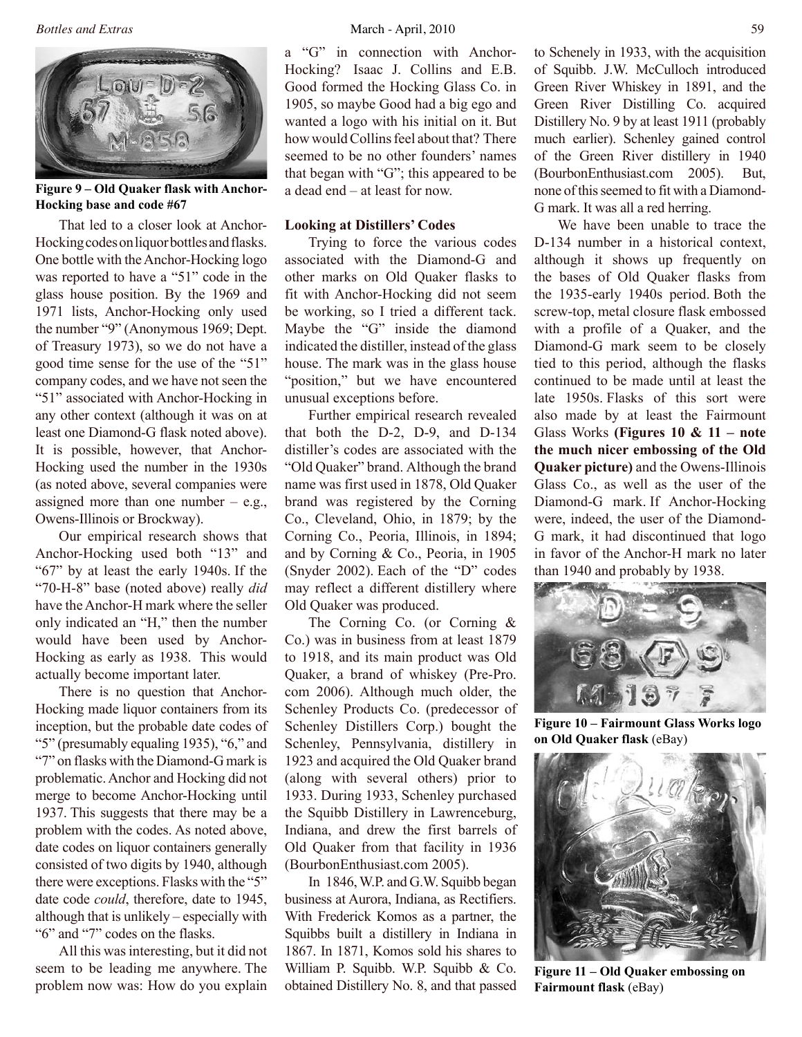

**Figure 9 – Old Quaker flask with Anchor-Hocking base and code #67**

That led to a closer look at Anchor-Hocking codes on liquor bottles and flasks. One bottle with the Anchor-Hocking logo was reported to have a "51" code in the glass house position. By the 1969 and 1971 lists, Anchor-Hocking only used the number "9" (Anonymous 1969; Dept. of Treasury 1973), so we do not have a good time sense for the use of the "51" company codes, and we have not seen the "51" associated with Anchor-Hocking in any other context (although it was on at least one Diamond-G flask noted above). It is possible, however, that Anchor-Hocking used the number in the 1930s (as noted above, several companies were assigned more than one number  $-$  e.g., Owens-Illinois or Brockway).

Our empirical research shows that Anchor-Hocking used both "13" and "67" by at least the early 1940s. If the "70-H-8" base (noted above) really *did* have the Anchor-H mark where the seller only indicated an "H," then the number would have been used by Anchor-Hocking as early as 1938. This would actually become important later.

There is no question that Anchor-Hocking made liquor containers from its inception, but the probable date codes of "5" (presumably equaling 1935), "6," and "7" on flasks with the Diamond-G mark is problematic. Anchor and Hocking did not merge to become Anchor-Hocking until 1937. This suggests that there may be a problem with the codes. As noted above, date codes on liquor containers generally consisted of two digits by 1940, although there were exceptions. Flasks with the "5" date code *could*, therefore, date to 1945, although that is unlikely – especially with "6" and "7" codes on the flasks.

All this was interesting, but it did not seem to be leading me anywhere. The problem now was: How do you explain

a "G" in connection with Anchor-Hocking? Isaac J. Collins and E.B. Good formed the Hocking Glass Co. in 1905, so maybe Good had a big ego and wanted a logo with his initial on it. But how would Collins feel about that? There seemed to be no other founders' names that began with "G"; this appeared to be a dead end – at least for now.

# **Looking at Distillers' Codes**

Trying to force the various codes associated with the Diamond-G and other marks on Old Quaker flasks to fit with Anchor-Hocking did not seem be working, so I tried a different tack. Maybe the "G" inside the diamond indicated the distiller, instead of the glass house. The mark was in the glass house "position," but we have encountered unusual exceptions before.

Further empirical research revealed that both the D-2, D-9, and D-134 distiller's codes are associated with the "Old Quaker" brand. Although the brand name was first used in 1878, Old Quaker brand was registered by the Corning Co., Cleveland, Ohio, in 1879; by the Corning Co., Peoria, Illinois, in 1894; and by Corning & Co., Peoria, in 1905 (Snyder 2002). Each of the "D" codes may reflect a different distillery where Old Quaker was produced.

The Corning Co. (or Corning & Co.) was in business from at least 1879 to 1918, and its main product was Old Quaker, a brand of whiskey (Pre-Pro. com 2006). Although much older, the Schenley Products Co. (predecessor of Schenley Distillers Corp.) bought the Schenley, Pennsylvania, distillery in 1923 and acquired the Old Quaker brand (along with several others) prior to 1933. During 1933, Schenley purchased the Squibb Distillery in Lawrenceburg, Indiana, and drew the first barrels of Old Quaker from that facility in 1936 (BourbonEnthusiast.com 2005).

In 1846, W.P. and G.W. Squibb began business at Aurora, Indiana, as Rectifiers. With Frederick Komos as a partner, the Squibbs built a distillery in Indiana in 1867. In 1871, Komos sold his shares to William P. Squibb. W.P. Squibb & Co. obtained Distillery No. 8, and that passed to Schenely in 1933, with the acquisition of Squibb. J.W. McCulloch introduced Green River Whiskey in 1891, and the Green River Distilling Co. acquired Distillery No. 9 by at least 1911 (probably much earlier). Schenley gained control of the Green River distillery in 1940 (BourbonEnthusiast.com 2005). But, none of this seemed to fit with a Diamond-G mark. It was all a red herring.

We have been unable to trace the D-134 number in a historical context, although it shows up frequently on the bases of Old Quaker flasks from the 1935-early 1940s period. Both the screw-top, metal closure flask embossed with a profile of a Quaker, and the Diamond-G mark seem to be closely tied to this period, although the flasks continued to be made until at least the late 1950s. Flasks of this sort were also made by at least the Fairmount Glass Works **(Figures 10 & 11 – note the much nicer embossing of the Old Quaker picture)** and the Owens-Illinois Glass Co., as well as the user of the Diamond-G mark. If Anchor-Hocking were, indeed, the user of the Diamond-G mark, it had discontinued that logo in favor of the Anchor-H mark no later than 1940 and probably by 1938.



**Figure 10 – Fairmount Glass Works logo on Old Quaker flask** (eBay)



**Figure 11 – Old Quaker embossing on Fairmount flask** (eBay)